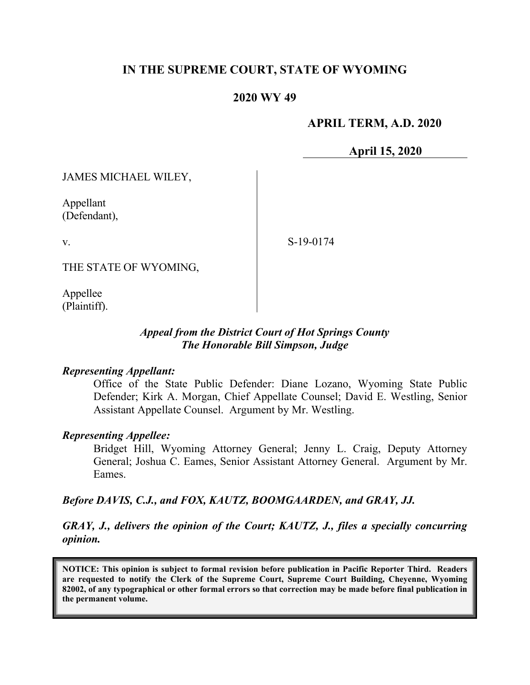# **IN THE SUPREME COURT, STATE OF WYOMING**

## **2020 WY 49**

## **APRIL TERM, A.D. 2020**

**April 15, 2020**

JAMES MICHAEL WILEY,

Appellant (Defendant),

v.

S-19-0174

THE STATE OF WYOMING,

Appellee (Plaintiff).

#### *Appeal from the District Court of Hot Springs County The Honorable Bill Simpson, Judge*

#### *Representing Appellant:*

Office of the State Public Defender: Diane Lozano, Wyoming State Public Defender; Kirk A. Morgan, Chief Appellate Counsel; David E. Westling, Senior Assistant Appellate Counsel. Argument by Mr. Westling.

#### *Representing Appellee:*

Bridget Hill, Wyoming Attorney General; Jenny L. Craig, Deputy Attorney General; Joshua C. Eames, Senior Assistant Attorney General. Argument by Mr. Eames.

#### *Before DAVIS, C.J., and FOX, KAUTZ, BOOMGAARDEN, and GRAY, JJ.*

*GRAY, J., delivers the opinion of the Court; KAUTZ, J., files a specially concurring opinion.*

**NOTICE: This opinion is subject to formal revision before publication in Pacific Reporter Third. Readers are requested to notify the Clerk of the Supreme Court, Supreme Court Building, Cheyenne, Wyoming 82002, of any typographical or other formal errors so that correction may be made before final publication in the permanent volume.**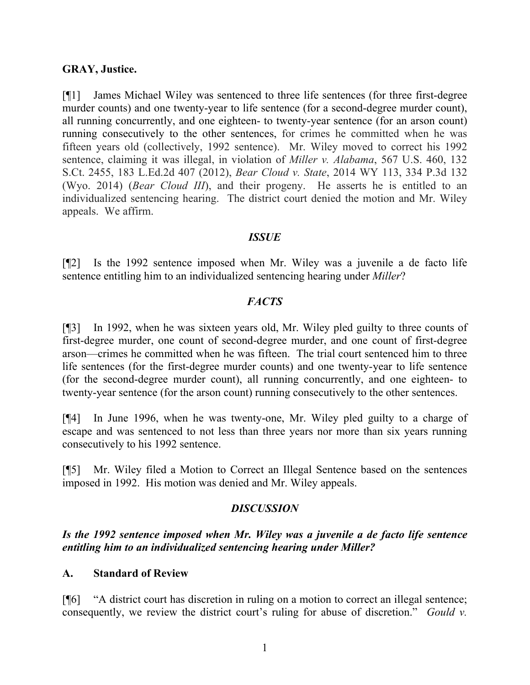#### **GRAY, Justice.**

[¶1] James Michael Wiley was sentenced to three life sentences (for three first-degree murder counts) and one twenty-year to life sentence (for a second-degree murder count), all running concurrently, and one eighteen- to twenty-year sentence (for an arson count) running consecutively to the other sentences, for crimes he committed when he was fifteen years old (collectively, 1992 sentence). Mr. Wiley moved to correct his 1992 sentence, claiming it was illegal, in violation of *Miller v. Alabama*, 567 U.S. 460, 132 S.Ct. 2455, 183 L.Ed.2d 407 (2012), *Bear Cloud v. State*, 2014 WY 113, 334 P.3d 132 (Wyo. 2014) (*Bear Cloud III*), and their progeny. He asserts he is entitled to an individualized sentencing hearing. The district court denied the motion and Mr. Wiley appeals. We affirm.

## *ISSUE*

[¶2] Is the 1992 sentence imposed when Mr. Wiley was a juvenile a de facto life sentence entitling him to an individualized sentencing hearing under *Miller*?

#### *FACTS*

[¶3] In 1992, when he was sixteen years old, Mr. Wiley pled guilty to three counts of first-degree murder, one count of second-degree murder, and one count of first-degree arson—crimes he committed when he was fifteen. The trial court sentenced him to three life sentences (for the first-degree murder counts) and one twenty-year to life sentence (for the second-degree murder count), all running concurrently, and one eighteen- to twenty-year sentence (for the arson count) running consecutively to the other sentences.

[¶4] In June 1996, when he was twenty-one, Mr. Wiley pled guilty to a charge of escape and was sentenced to not less than three years nor more than six years running consecutively to his 1992 sentence.

[¶5] Mr. Wiley filed a Motion to Correct an Illegal Sentence based on the sentences imposed in 1992. His motion was denied and Mr. Wiley appeals.

## *DISCUSSION*

*Is the 1992 sentence imposed when Mr. Wiley was a juvenile a de facto life sentence entitling him to an individualized sentencing hearing under Miller?*

#### **A. Standard of Review**

[¶6] "A district court has discretion in ruling on a motion to correct an illegal sentence; consequently, we review the district court's ruling for abuse of discretion." *Gould v.*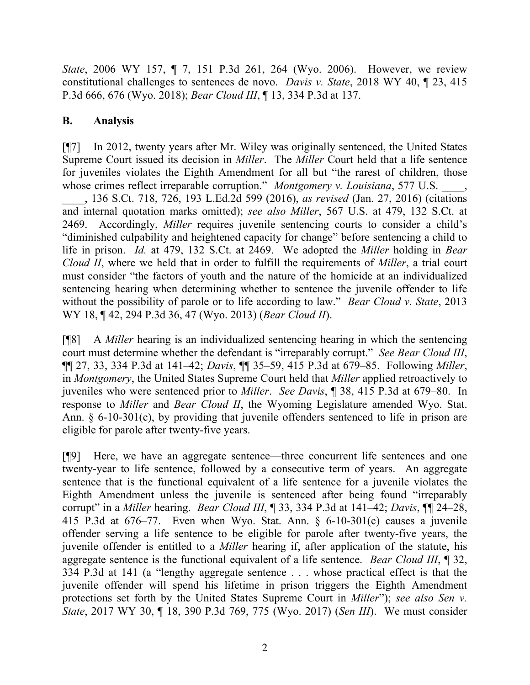*State*, 2006 WY 157, ¶ 7, 151 P.3d 261, 264 (Wyo. 2006). However, we review constitutional challenges to sentences de novo. *Davis v. State*, 2018 WY 40, ¶ 23, 415 P.3d 666, 676 (Wyo. 2018); *Bear Cloud III*, ¶ 13, 334 P.3d at 137.

# **B. Analysis**

[¶7] In 2012, twenty years after Mr. Wiley was originally sentenced, the United States Supreme Court issued its decision in *Miller*. The *Miller* Court held that a life sentence for juveniles violates the Eighth Amendment for all but "the rarest of children, those whose crimes reflect irreparable corruption." *Montgomery v. Louisiana*, 577 U.S. \_\_\_\_, 136 S.Ct. 718, 726, 193 L.Ed.2d 599 (2016), *as revised* (Jan. 27, 2016) (citations and internal quotation marks omitted); *see also Miller*, 567 U.S. at 479, 132 S.Ct. at 2469. Accordingly, *Miller* requires juvenile sentencing courts to consider a child's "diminished culpability and heightened capacity for change" before sentencing a child to life in prison. *Id.* at 479, 132 S.Ct. at 2469. We adopted the *Miller* holding in *Bear Cloud II*, where we held that in order to fulfill the requirements of *Miller*, a trial court must consider "the factors of youth and the nature of the homicide at an individualized sentencing hearing when determining whether to sentence the juvenile offender to life without the possibility of parole or to life according to law." *Bear Cloud v. State*, 2013 WY 18, ¶ 42, 294 P.3d 36, 47 (Wyo. 2013) (*Bear Cloud II*).

[¶8] A *Miller* hearing is an individualized sentencing hearing in which the sentencing court must determine whether the defendant is "irreparably corrupt." *See Bear Cloud III*, ¶¶ 27, 33, 334 P.3d at 141–42; *Davis*, ¶¶ 35–59, 415 P.3d at 679–85. Following *Miller*, in *Montgomery*, the United States Supreme Court held that *Miller* applied retroactively to juveniles who were sentenced prior to *Miller*. *See Davis*, ¶ 38, 415 P.3d at 679–80. In response to *Miller* and *Bear Cloud II*, the Wyoming Legislature amended Wyo. Stat. Ann. § 6-10-301(c), by providing that juvenile offenders sentenced to life in prison are eligible for parole after twenty-five years.

[¶9] Here, we have an aggregate sentence—three concurrent life sentences and one twenty-year to life sentence, followed by a consecutive term of years. An aggregate sentence that is the functional equivalent of a life sentence for a juvenile violates the Eighth Amendment unless the juvenile is sentenced after being found "irreparably corrupt" in a *Miller* hearing. *Bear Cloud III*, ¶ 33, 334 P.3d at 141–42; *Davis*, ¶¶ 24–28, 415 P.3d at 676–77. Even when Wyo. Stat. Ann. § 6-10-301(c) causes a juvenile offender serving a life sentence to be eligible for parole after twenty-five years, the juvenile offender is entitled to a *Miller* hearing if, after application of the statute, his aggregate sentence is the functional equivalent of a life sentence. *Bear Cloud III*, ¶ 32, 334 P.3d at 141 (a "lengthy aggregate sentence . . . whose practical effect is that the juvenile offender will spend his lifetime in prison triggers the Eighth Amendment protections set forth by the United States Supreme Court in *Miller*"); *see also Sen v. State*, 2017 WY 30, ¶ 18, 390 P.3d 769, 775 (Wyo. 2017) (*Sen III*). We must consider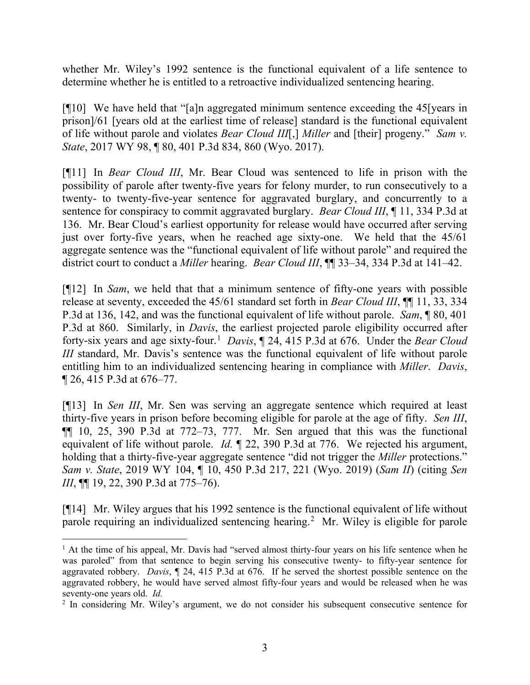whether Mr. Wiley's 1992 sentence is the functional equivalent of a life sentence to determine whether he is entitled to a retroactive individualized sentencing hearing.

[¶10] We have held that "[a]n aggregated minimum sentence exceeding the 45[years in prison]/61 [years old at the earliest time of release] standard is the functional equivalent of life without parole and violates *Bear Cloud III*[,] *Miller* and [their] progeny." *Sam v. State*, 2017 WY 98, ¶ 80, 401 P.3d 834, 860 (Wyo. 2017).

[¶11] In *Bear Cloud III*, Mr. Bear Cloud was sentenced to life in prison with the possibility of parole after twenty-five years for felony murder, to run consecutively to a twenty- to twenty-five-year sentence for aggravated burglary, and concurrently to a sentence for conspiracy to commit aggravated burglary. *Bear Cloud III*, ¶ 11, 334 P.3d at 136. Mr. Bear Cloud's earliest opportunity for release would have occurred after serving just over forty-five years, when he reached age sixty-one. We held that the 45/61 aggregate sentence was the "functional equivalent of life without parole" and required the district court to conduct a *Miller* hearing. *Bear Cloud III*, ¶¶ 33–34, 334 P.3d at 141–42.

[¶12] In *Sam*, we held that that a minimum sentence of fifty-one years with possible release at seventy, exceeded the 45/61 standard set forth in *Bear Cloud III*, ¶¶ 11, 33, 334 P.3d at 136, 142, and was the functional equivalent of life without parole. *Sam*, ¶ 80, 401 P.3d at 860. Similarly, in *Davis*, the earliest projected parole eligibility occurred after forty-six years and age sixty-four. [1](#page-3-0) *Davis*, ¶ 24, 415 P.3d at 676. Under the *Bear Cloud III* standard, Mr. Davis's sentence was the functional equivalent of life without parole entitling him to an individualized sentencing hearing in compliance with *Miller*. *Davis*, ¶ 26, 415 P.3d at 676–77.

[¶13] In *Sen III*, Mr. Sen was serving an aggregate sentence which required at least thirty-five years in prison before becoming eligible for parole at the age of fifty. *Sen III*,  $\P$ [ 10, 25, 390 P.3d at  $772-73$ , 777. Mr. Sen argued that this was the functional equivalent of life without parole. *Id.* ¶ 22, 390 P.3d at 776. We rejected his argument, holding that a thirty-five-year aggregate sentence "did not trigger the *Miller* protections." *Sam v. State*, 2019 WY 104, ¶ 10, 450 P.3d 217, 221 (Wyo. 2019) (*Sam II*) (citing *Sen III*, **[11** 19, 22, 390 P.3d at 775–76).

[¶14] Mr. Wiley argues that his 1992 sentence is the functional equivalent of life without parole requiring an individualized sentencing hearing.[2](#page-3-1) Mr. Wiley is eligible for parole

<span id="page-3-0"></span><sup>&</sup>lt;sup>1</sup> At the time of his appeal, Mr. Davis had "served almost thirty-four years on his life sentence when he was paroled" from that sentence to begin serving his consecutive twenty- to fifty-year sentence for aggravated robbery. *Davis*, ¶ 24, 415 P.3d at 676. If he served the shortest possible sentence on the aggravated robbery, he would have served almost fifty-four years and would be released when he was seventy-one years old. *Id.*

<span id="page-3-1"></span><sup>&</sup>lt;sup>2</sup> In considering Mr. Wiley's argument, we do not consider his subsequent consecutive sentence for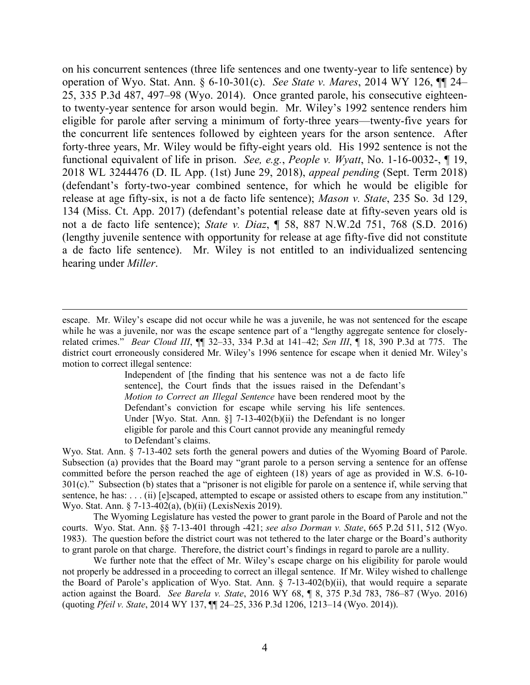on his concurrent sentences (three life sentences and one twenty-year to life sentence) by operation of Wyo. Stat. Ann. § 6-10-301(c). *See State v. Mares*, 2014 WY 126, ¶¶ 24– 25, 335 P.3d 487, 497–98 (Wyo. 2014). Once granted parole, his consecutive eighteento twenty-year sentence for arson would begin. Mr. Wiley's 1992 sentence renders him eligible for parole after serving a minimum of forty-three years—twenty-five years for the concurrent life sentences followed by eighteen years for the arson sentence. After forty-three years, Mr. Wiley would be fifty-eight years old. His 1992 sentence is not the functional equivalent of life in prison. *See, e.g.*, *People v. Wyatt*, No. 1-16-0032-, ¶ 19, 2018 WL 3244476 (D. IL App. (1st) June 29, 2018), *appeal pending* (Sept. Term 2018) (defendant's forty-two-year combined sentence, for which he would be eligible for release at age fifty-six, is not a de facto life sentence); *Mason v. State*, 235 So. 3d 129, 134 (Miss. Ct. App. 2017) (defendant's potential release date at fifty-seven years old is not a de facto life sentence); *State v. Diaz*, ¶ 58, 887 N.W.2d 751, 768 (S.D. 2016) (lengthy juvenile sentence with opportunity for release at age fifty-five did not constitute a de facto life sentence). Mr. Wiley is not entitled to an individualized sentencing hearing under *Miller*.

Independent of [the finding that his sentence was not a de facto life sentence], the Court finds that the issues raised in the Defendant's *Motion to Correct an Illegal Sentence* have been rendered moot by the Defendant's conviction for escape while serving his life sentences. Under [Wyo. Stat. Ann. §] 7-13-402(b)(ii) the Defendant is no longer eligible for parole and this Court cannot provide any meaningful remedy to Defendant's claims.

Wyo. Stat. Ann. § 7-13-402 sets forth the general powers and duties of the Wyoming Board of Parole. Subsection (a) provides that the Board may "grant parole to a person serving a sentence for an offense committed before the person reached the age of eighteen (18) years of age as provided in W.S. 6-10- 301(c)." Subsection (b) states that a "prisoner is not eligible for parole on a sentence if, while serving that sentence, he has: . . . (ii) [e]scaped, attempted to escape or assisted others to escape from any institution." Wyo. Stat. Ann. § 7-13-402(a), (b)(ii) (LexisNexis 2019).

The Wyoming Legislature has vested the power to grant parole in the Board of Parole and not the courts. Wyo. Stat. Ann. §§ 7-13-401 through -421; *see also Dorman v. State*, 665 P.2d 511, 512 (Wyo. 1983). The question before the district court was not tethered to the later charge or the Board's authority to grant parole on that charge. Therefore, the district court's findings in regard to parole are a nullity.

We further note that the effect of Mr. Wiley's escape charge on his eligibility for parole would not properly be addressed in a proceeding to correct an illegal sentence. If Mr. Wiley wished to challenge the Board of Parole's application of Wyo. Stat. Ann. § 7-13-402(b)(ii), that would require a separate action against the Board. *See Barela v. State*, 2016 WY 68, ¶ 8, 375 P.3d 783, 786–87 (Wyo. 2016) (quoting *Pfeil v. State*, 2014 WY 137, ¶¶ 24–25, 336 P.3d 1206, 1213–14 (Wyo. 2014)).

escape. Mr. Wiley's escape did not occur while he was a juvenile, he was not sentenced for the escape while he was a juvenile, nor was the escape sentence part of a "lengthy aggregate sentence for closelyrelated crimes." *Bear Cloud III*, ¶¶ 32–33, 334 P.3d at 141–42; *Sen III*, ¶ 18, 390 P.3d at 775. The district court erroneously considered Mr. Wiley's 1996 sentence for escape when it denied Mr. Wiley's motion to correct illegal sentence: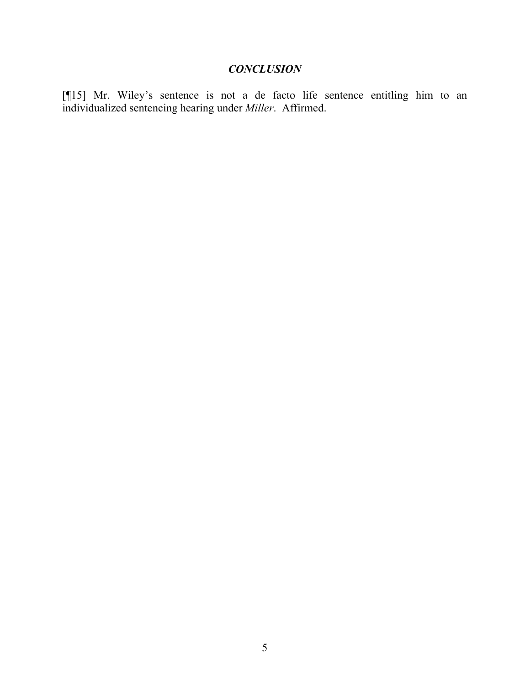# *CONCLUSION*

[¶15] Mr. Wiley's sentence is not a de facto life sentence entitling him to an individualized sentencing hearing under *Miller*. Affirmed.